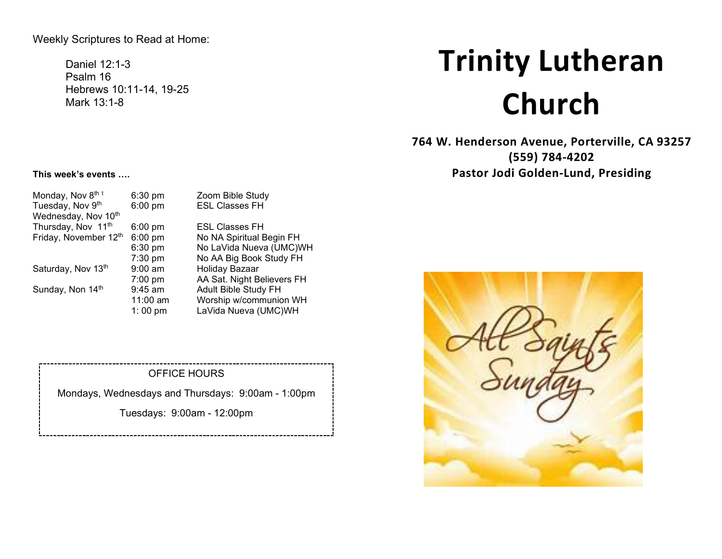# Weekly Scriptures to Read at Home:

Daniel 12:1-3 Psalm 16 Hebrews 10:11-14, 19-25 Mark 13:1-8

# **Trinity Lutheran Church**

**764 W. Henderson Avenue, Porterville, CA 93257 (559) 784-4202 Pastor Jodi Golden-Lund, Presiding**

#### **This week's events ….**

| Monday, Nov 8th t<br>Tuesday, Nov 9th     | $6:30$ pm<br>6:00 pm | Zoom Bible Study<br><b>ESL Classes FH</b> |
|-------------------------------------------|----------------------|-------------------------------------------|
| Wednesday, Nov 10th<br>Thursday, Nov 11th |                      | <b>ESL Classes FH</b>                     |
|                                           | $6:00$ pm            |                                           |
| Friday, November 12th                     | 6:00 pm              | No NA Spiritual Begin FH                  |
|                                           | 6:30 pm              | No LaVida Nueva (UMC)WH                   |
|                                           | 7:30 pm              | No AA Big Book Study FH                   |
| Saturday, Nov 13th                        | $9:00$ am            | Holiday Bazaar                            |
|                                           | $7:00$ pm            | AA Sat. Night Believers FH                |
| Sunday, Non 14th                          | 9:45 am              | Adult Bible Study FH                      |
|                                           | 11:00 am             | Worship w/communion WH                    |
|                                           | 1:00 pm              | LaVida Nueva (UMC)WH                      |
|                                           |                      |                                           |

#### OFFICE HOURS

Mondays, Wednesdays and Thursdays: 9:00am - 1:00pm

Tuesdays: 9:00am - 12:00pm